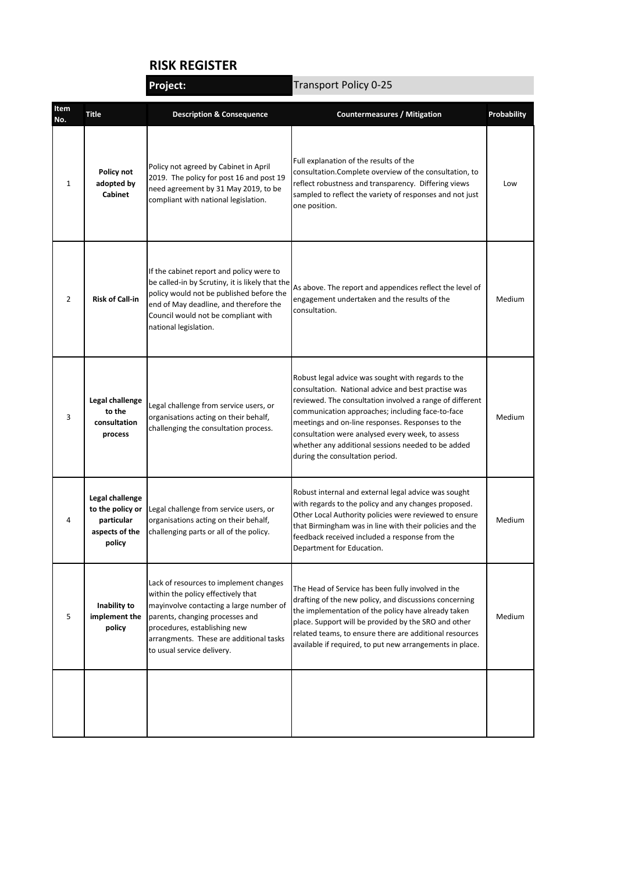## **RISK REGISTER Project:**

|                |                                                                                                                                                                                                                                                                                                                | Project:                                                                                                                                                                                                                                          | <b>Transport Policy 0-25</b>                                                                                                                                                                                                                                                                                                                                                                                               |                    |  |
|----------------|----------------------------------------------------------------------------------------------------------------------------------------------------------------------------------------------------------------------------------------------------------------------------------------------------------------|---------------------------------------------------------------------------------------------------------------------------------------------------------------------------------------------------------------------------------------------------|----------------------------------------------------------------------------------------------------------------------------------------------------------------------------------------------------------------------------------------------------------------------------------------------------------------------------------------------------------------------------------------------------------------------------|--------------------|--|
| Item<br>No.    | <b>Title</b>                                                                                                                                                                                                                                                                                                   | <b>Description &amp; Consequence</b>                                                                                                                                                                                                              | <b>Countermeasures / Mitigation</b>                                                                                                                                                                                                                                                                                                                                                                                        | <b>Probability</b> |  |
| 1              | Policy not<br>adopted by<br><b>Cabinet</b>                                                                                                                                                                                                                                                                     | Policy not agreed by Cabinet in April<br>2019. The policy for post 16 and post 19<br>need agreement by 31 May 2019, to be<br>compliant with national legislation.                                                                                 | Full explanation of the results of the<br>consultation.Complete overview of the consultation, to<br>reflect robustness and transparency. Differing views<br>sampled to reflect the variety of responses and not just<br>one position.                                                                                                                                                                                      | Low                |  |
| $\overline{2}$ | <b>Risk of Call-in</b>                                                                                                                                                                                                                                                                                         | If the cabinet report and policy were to<br>be called-in by Scrutiny, it is likely that the<br>policy would not be published before the<br>end of May deadline, and therefore the<br>Council would not be compliant with<br>national legislation. | As above. The report and appendices reflect the level of<br>engagement undertaken and the results of the<br>consultation.                                                                                                                                                                                                                                                                                                  | Medium             |  |
| 3              | Legal challenge<br>Legal challenge from service users, or<br>to the<br>organisations acting on their behalf,<br>consultation<br>challenging the consultation process.<br>process                                                                                                                               |                                                                                                                                                                                                                                                   | Robust legal advice was sought with regards to the<br>consultation. National advice and best practise was<br>reviewed. The consultation involved a range of different<br>communication approaches; including face-to-face<br>meetings and on-line responses. Responses to the<br>consultation were analysed every week, to assess<br>whether any additional sessions needed to be added<br>during the consultation period. | Medium             |  |
| 4              | Legal challenge<br>to the policy or<br>particular<br>aspects of the<br>policy                                                                                                                                                                                                                                  | Legal challenge from service users, or<br>organisations acting on their behalf,<br>challenging parts or all of the policy.                                                                                                                        | Robust internal and external legal advice was sought<br>with regards to the policy and any changes proposed.<br>Other Local Authority policies were reviewed to ensure<br>that Birmingham was in line with their policies and the<br>feedback received included a response from the<br>Department for Education.                                                                                                           | Medium             |  |
| 5              | Lack of resources to implement changes<br>within the policy effectively that<br>Inability to<br>mayinvolve contacting a large number of<br>implement the<br>parents, changing processes and<br>policy<br>procedures, establishing new<br>arrangments. These are additional tasks<br>to usual service delivery. |                                                                                                                                                                                                                                                   | The Head of Service has been fully involved in the<br>drafting of the new policy, and discussions concerning<br>the implementation of the policy have already taken<br>place. Support will be provided by the SRO and other<br>related teams, to ensure there are additional resources<br>available if required, to put new arrangements in place.                                                                         | Medium             |  |
|                |                                                                                                                                                                                                                                                                                                                |                                                                                                                                                                                                                                                   |                                                                                                                                                                                                                                                                                                                                                                                                                            |                    |  |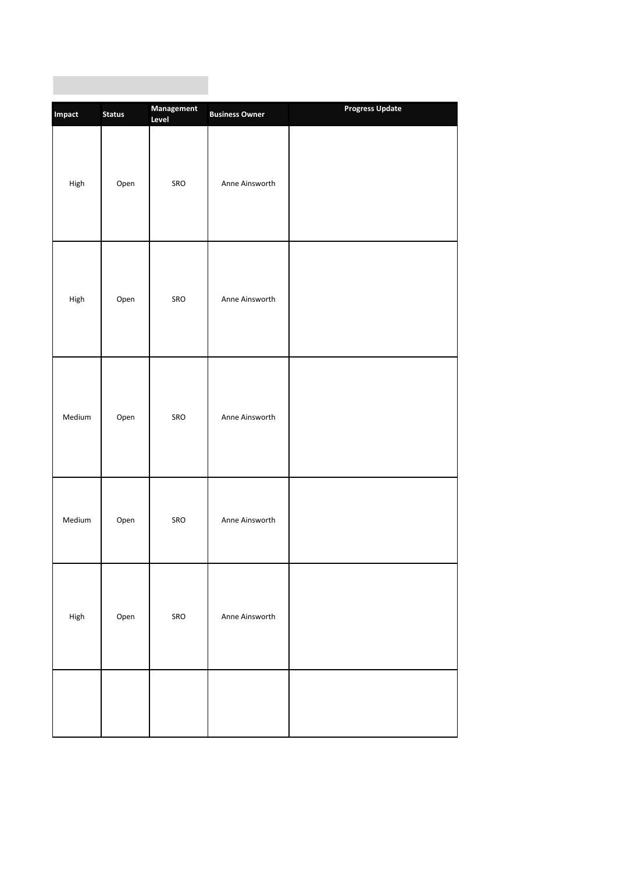| Impact                              | <b>Status</b> | Management<br>Level | <b>Business Owner</b> | <b>Progress Update</b> |
|-------------------------------------|---------------|---------------------|-----------------------|------------------------|
| High                                | Open          | SRO                 | Anne Ainsworth        |                        |
| High                                | Open          | SRO                 | Anne Ainsworth        |                        |
| Medium                              | Open          | SRO                 | Anne Ainsworth        |                        |
| Medium                              | Open          | SRO                 | Anne Ainsworth        |                        |
| $\ensuremath{\mathsf{High}}\xspace$ | Open          | SRO                 | Anne Ainsworth        |                        |
|                                     |               |                     |                       |                        |